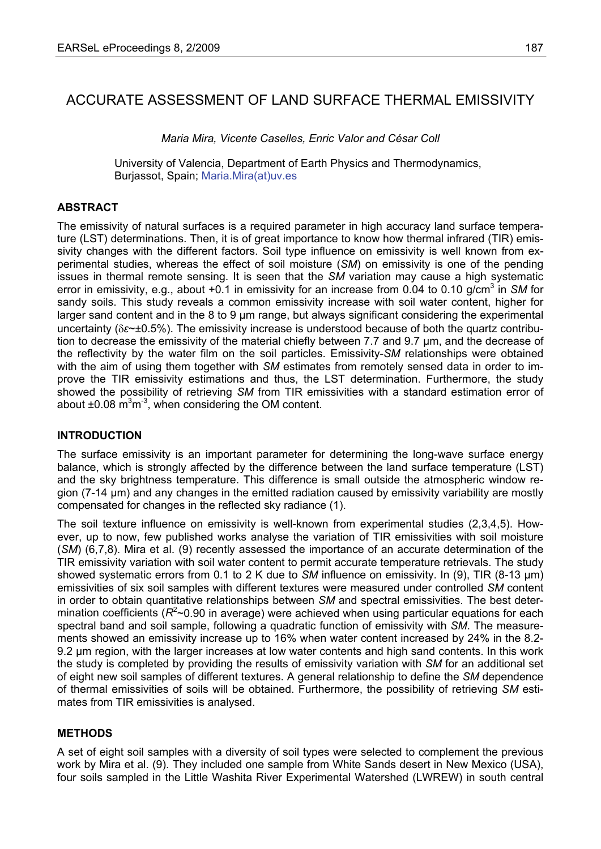# ACCURATE ASSESSMENT OF LAND SURFACE THERMAL EMISSIVITY

*Maria Mira, Vicente Caselles, Enric Valor and César Coll* 

University of Valencia, Department of Earth Physics and Thermodynamics, Burjassot, Spain; Maria.Mira(at)uv.es

#### **ABSTRACT**

The emissivity of natural surfaces is a required parameter in high accuracy land surface temperature (LST) determinations. Then, it is of great importance to know how thermal infrared (TIR) emissivity changes with the different factors. Soil type influence on emissivity is well known from experimental studies, whereas the effect of soil moisture (*SM*) on emissivity is one of the pending issues in thermal remote sensing. It is seen that the *SM* variation may cause a high systematic error in emissivity, e.g., about +0.1 in emissivity for an increase from 0.04 to 0.10 g/cm<sup>3</sup> in SM for sandy soils. This study reveals a common emissivity increase with soil water content, higher for larger sand content and in the 8 to 9 μm range, but always significant considering the experimental uncertainty (δ*ε*~±0.5%). The emissivity increase is understood because of both the quartz contribution to decrease the emissivity of the material chiefly between 7.7 and 9.7 μm, and the decrease of the reflectivity by the water film on the soil particles. Emissivity-*SM* relationships were obtained with the aim of using them together with *SM* estimates from remotely sensed data in order to improve the TIR emissivity estimations and thus, the LST determination. Furthermore, the study showed the possibility of retrieving *SM* from TIR emissivities with a standard estimation error of about  $\pm 0.08$  m<sup>3</sup>m<sup>-3</sup>, when considering the OM content.

#### **INTRODUCTION**

The surface emissivity is an important parameter for determining the long-wave surface energy balance, which is strongly affected by the difference between the land surface temperature (LST) and the sky brightness temperature. This difference is small outside the atmospheric window region (7-14 μm) and any changes in the emitted radiation caused by emissivity variability are mostly compensated for changes in the reflected sky radiance (1).

The soil texture influence on emissivity is well-known from experimental studies (2,3,4,5). However, up to now, few published works analyse the variation of TIR emissivities with soil moisture (*SM*) (6,7,8). Mira et al. (9) recently assessed the importance of an accurate determination of the TIR emissivity variation with soil water content to permit accurate temperature retrievals. The study showed systematic errors from 0.1 to 2 K due to *SM* influence on emissivity. In (9), TIR (8-13 μm) emissivities of six soil samples with different textures were measured under controlled *SM* content in order to obtain quantitative relationships between *SM* and spectral emissivities. The best determination coefficients ( $R^2$ ~0.90 in average) were achieved when using particular equations for each spectral band and soil sample, following a quadratic function of emissivity with *SM*. The measurements showed an emissivity increase up to 16% when water content increased by 24% in the 8.2- 9.2 um region, with the larger increases at low water contents and high sand contents. In this work the study is completed by providing the results of emissivity variation with *SM* for an additional set of eight new soil samples of different textures. A general relationship to define the *SM* dependence of thermal emissivities of soils will be obtained. Furthermore, the possibility of retrieving *SM* estimates from TIR emissivities is analysed.

### **METHODS**

A set of eight soil samples with a diversity of soil types were selected to complement the previous work by Mira et al. (9). They included one sample from White Sands desert in New Mexico (USA), four soils sampled in the Little Washita River Experimental Watershed (LWREW) in south central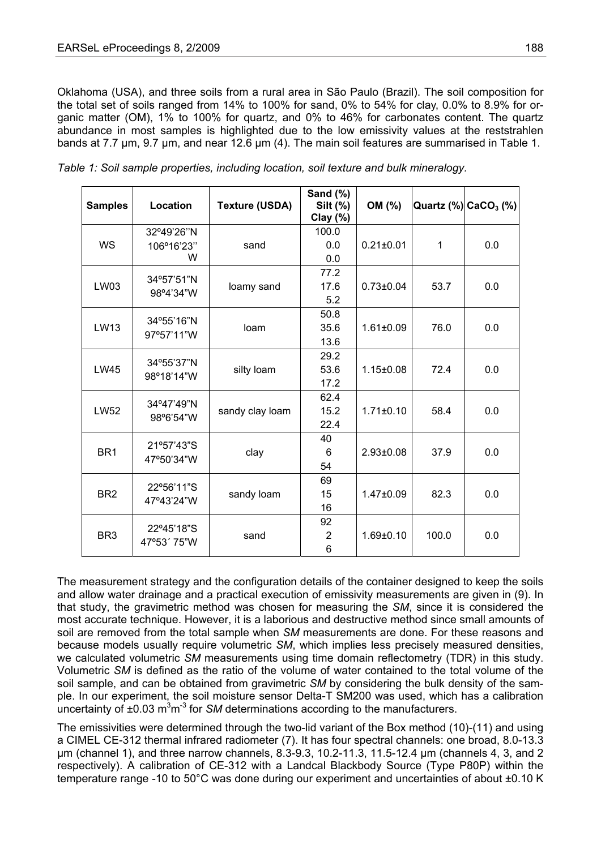Oklahoma (USA), and three soils from a rural area in São Paulo (Brazil). The soil composition for the total set of soils ranged from 14% to 100% for sand, 0% to 54% for clay, 0.0% to 8.9% for organic matter (OM), 1% to 100% for quartz, and 0% to 46% for carbonates content. The quartz abundance in most samples is highlighted due to the low emissivity values at the reststrahlen bands at 7.7 µm, 9.7 µm, and near 12.6 µm (4). The main soil features are summarised in Table 1.

| <b>Samples</b>  | Location                  | <b>Texture (USDA)</b> | Sand (%)<br>Silt (%)<br>Clay $(\%)$ | OM (%)          |       | Quartz $\left(\frac{9}{6}\right)$ CaCO <sub>3</sub> $\left(\frac{9}{6}\right)$ |
|-----------------|---------------------------|-----------------------|-------------------------------------|-----------------|-------|--------------------------------------------------------------------------------|
|                 | 32°49'26"N                |                       | 100.0                               |                 |       |                                                                                |
| <b>WS</b>       | 106°16'23"                | sand                  | 0.0                                 | $0.21 \pm 0.01$ | 1     | 0.0                                                                            |
|                 | W                         |                       | 0.0                                 |                 |       |                                                                                |
| LW03            | 34°57'51"N<br>98°4'34"W   | loamy sand            | 77.2                                |                 |       |                                                                                |
|                 |                           |                       | 17.6                                | $0.73 \pm 0.04$ | 53.7  | 0.0                                                                            |
|                 |                           |                       | 5.2                                 |                 |       |                                                                                |
| LW13            | 34°55'16"N<br>97°57'11"W  | loam                  | 50.8                                |                 |       |                                                                                |
|                 |                           |                       | 35.6                                | $1.61 \pm 0.09$ | 76.0  | 0.0                                                                            |
|                 |                           |                       | 13.6                                |                 |       |                                                                                |
| <b>LW45</b>     | 34°55'37"N<br>98°18'14"W  | silty loam            | 29.2                                | $1.15 \pm 0.08$ | 72.4  | 0.0                                                                            |
|                 |                           |                       | 53.6                                |                 |       |                                                                                |
|                 |                           |                       | 17.2                                |                 |       |                                                                                |
| <b>LW52</b>     | 34°47'49"N<br>98°6'54"W   | sandy clay loam       | 62.4                                |                 |       |                                                                                |
|                 |                           |                       | 15.2                                | $1.71 \pm 0.10$ | 58.4  | 0.0                                                                            |
|                 |                           |                       | 22.4                                |                 |       |                                                                                |
|                 | 21°57'43"S<br>47°50'34"W  | clay                  | 40                                  |                 |       |                                                                                |
| BR <sub>1</sub> |                           |                       | 6                                   | $2.93 \pm 0.08$ | 37.9  | 0.0                                                                            |
|                 |                           |                       | 54                                  |                 |       |                                                                                |
| BR <sub>2</sub> | 22°56'11"S<br>47°43'24"W  | sandy loam            | 69                                  |                 |       |                                                                                |
|                 |                           |                       | 15                                  | $1.47 \pm 0.09$ | 82.3  | 0.0                                                                            |
|                 |                           |                       | 16                                  |                 |       |                                                                                |
| BR <sub>3</sub> | 22°45'18"S<br>47°53' 75"W | sand                  | 92                                  |                 |       |                                                                                |
|                 |                           |                       | $\overline{2}$                      | $1.69 \pm 0.10$ | 100.0 | 0.0                                                                            |
|                 |                           |                       | 6                                   |                 |       |                                                                                |

*Table 1: Soil sample properties, including location, soil texture and bulk mineralogy.* 

The measurement strategy and the configuration details of the container designed to keep the soils and allow water drainage and a practical execution of emissivity measurements are given in (9). In that study, the gravimetric method was chosen for measuring the *SM*, since it is considered the most accurate technique. However, it is a laborious and destructive method since small amounts of soil are removed from the total sample when *SM* measurements are done. For these reasons and because models usually require volumetric *SM*, which implies less precisely measured densities, we calculated volumetric *SM* measurements using time domain reflectometry (TDR) in this study. Volumetric *SM* is defined as the ratio of the volume of water contained to the total volume of the soil sample, and can be obtained from gravimetric *SM* by considering the bulk density of the sample. In our experiment, the soil moisture sensor Delta-T SM200 was used, which has a calibration uncertainty of ±0.03 m<sup>3</sup>m<sup>-3</sup> for *SM* determinations according to the manufacturers.

The emissivities were determined through the two-lid variant of the Box method (10)-(11) and using a CIMEL CE-312 thermal infrared radiometer (7). It has four spectral channels: one broad, 8.0-13.3 μm (channel 1), and three narrow channels, 8.3-9.3, 10.2-11.3, 11.5-12.4 μm (channels 4, 3, and 2 respectively). A calibration of CE-312 with a Landcal Blackbody Source (Type P80P) within the temperature range -10 to 50°C was done during our experiment and uncertainties of about ±0.10 K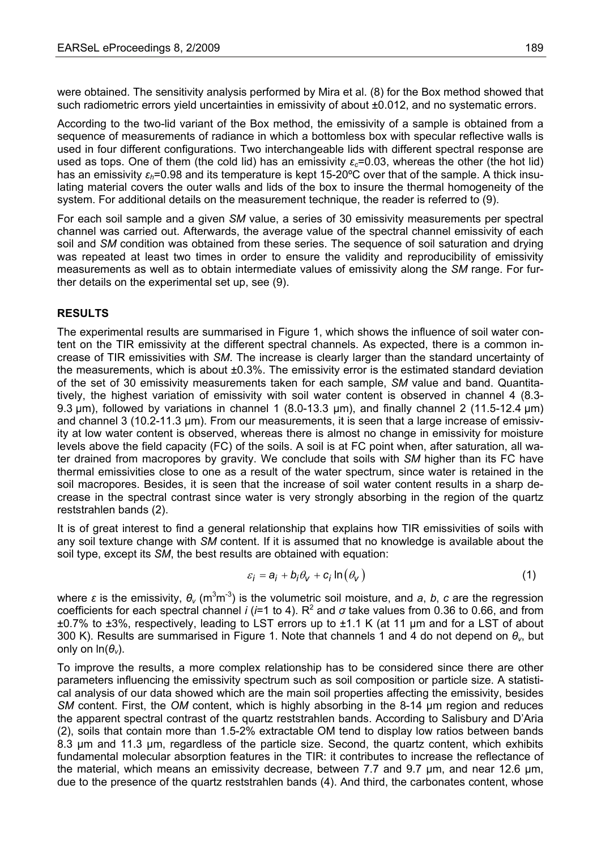were obtained. The sensitivity analysis performed by Mira et al. (8) for the Box method showed that such radiometric errors yield uncertainties in emissivity of about  $\pm 0.012$ , and no systematic errors.

According to the two-lid variant of the Box method, the emissivity of a sample is obtained from a sequence of measurements of radiance in which a bottomless box with specular reflective walls is used in four different configurations. Two interchangeable lids with different spectral response are used as tops. One of them (the cold lid) has an emissivity  $\varepsilon_c$ =0.03, whereas the other (the hot lid) has an emissivity *εh*=0.98 and its temperature is kept 15-20ºC over that of the sample. A thick insulating material covers the outer walls and lids of the box to insure the thermal homogeneity of the system. For additional details on the measurement technique, the reader is referred to (9).

For each soil sample and a given *SM* value, a series of 30 emissivity measurements per spectral channel was carried out. Afterwards, the average value of the spectral channel emissivity of each soil and *SM* condition was obtained from these series. The sequence of soil saturation and drying was repeated at least two times in order to ensure the validity and reproducibility of emissivity measurements as well as to obtain intermediate values of emissivity along the *SM* range. For further details on the experimental set up, see (9).

### **RESULTS**

The experimental results are summarised in Figure 1, which shows the influence of soil water content on the TIR emissivity at the different spectral channels. As expected, there is a common increase of TIR emissivities with *SM*. The increase is clearly larger than the standard uncertainty of the measurements, which is about ±0.3%. The emissivity error is the estimated standard deviation of the set of 30 emissivity measurements taken for each sample, *SM* value and band. Quantitatively, the highest variation of emissivity with soil water content is observed in channel 4 (8.3- 9.3  $\mu$ m), followed by variations in channel 1 (8.0-13.3  $\mu$ m), and finally channel 2 (11.5-12.4  $\mu$ m) and channel 3 (10.2-11.3 μm). From our measurements, it is seen that a large increase of emissivity at low water content is observed, whereas there is almost no change in emissivity for moisture levels above the field capacity (FC) of the soils. A soil is at FC point when, after saturation, all water drained from macropores by gravity. We conclude that soils with *SM* higher than its FC have thermal emissivities close to one as a result of the water spectrum, since water is retained in the soil macropores. Besides, it is seen that the increase of soil water content results in a sharp decrease in the spectral contrast since water is very strongly absorbing in the region of the quartz reststrahlen bands (2).

It is of great interest to find a general relationship that explains how TIR emissivities of soils with any soil texture change with *SM* content. If it is assumed that no knowledge is available about the soil type, except its *SM*, the best results are obtained with equation:

$$
\varepsilon_{i} = a_{i} + b_{i} \theta_{v} + c_{i} \ln(\theta_{v})
$$
\n(1)

where *ε* is the emissivity,  $θ$ <sup>*v*</sup> (m<sup>3</sup>m<sup>-3</sup>) is the volumetric soil moisture, and *a*, *b*, *c* are the regression coefficients for each spectral channel *i* ( $i=1$  to 4). R<sup>2</sup> and  $\sigma$  take values from 0.36 to 0.66, and from ±0.7% to ±3%, respectively, leading to LST errors up to ±1.1 K (at 11 μm and for a LST of about 300 K). Results are summarised in Figure 1. Note that channels 1 and 4 do not depend on *θv*, but only on ln(*θv*).

To improve the results, a more complex relationship has to be considered since there are other parameters influencing the emissivity spectrum such as soil composition or particle size. A statistical analysis of our data showed which are the main soil properties affecting the emissivity, besides *SM* content. First, the *OM* content, which is highly absorbing in the 8-14 µm region and reduces the apparent spectral contrast of the quartz reststrahlen bands. According to Salisbury and D'Aria (2), soils that contain more than 1.5-2% extractable OM tend to display low ratios between bands 8.3 µm and 11.3 µm, regardless of the particle size. Second, the quartz content, which exhibits fundamental molecular absorption features in the TIR: it contributes to increase the reflectance of the material, which means an emissivity decrease, between 7.7 and 9.7 µm, and near 12.6 µm, due to the presence of the quartz reststrahlen bands (4). And third, the carbonates content, whose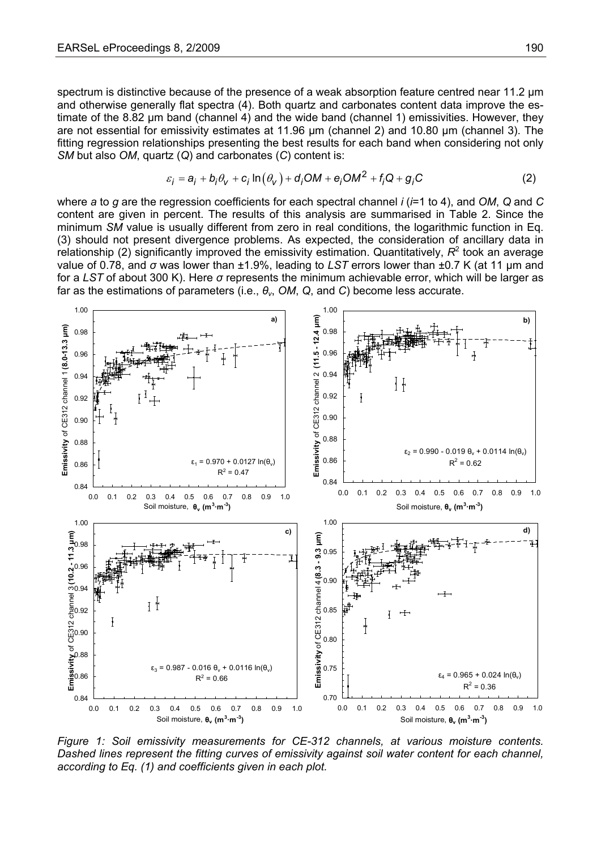spectrum is distinctive because of the presence of a weak absorption feature centred near 11.2 μm and otherwise generally flat spectra (4). Both quartz and carbonates content data improve the estimate of the 8.82 μm band (channel 4) and the wide band (channel 1) emissivities. However, they are not essential for emissivity estimates at 11.96 μm (channel 2) and 10.80 μm (channel 3). The fitting regression relationships presenting the best results for each band when considering not only *SM* but also *OM*, quartz (*Q*) and carbonates (*C*) content is:

$$
\varepsilon_i = a_i + b_i \theta_v + c_i \ln(\theta_v) + d_i O M + e_i O M^2 + f_i Q + g_i C \tag{2}
$$

where *a* to *g* are the regression coefficients for each spectral channel *i* (*i*=1 to 4), and *OM*, *Q* and *C* content are given in percent. The results of this analysis are summarised in Table 2. Since the minimum *SM* value is usually different from zero in real conditions, the logarithmic function in Eq. (3) should not present divergence problems. As expected, the consideration of ancillary data in  $r$ elationship (2) significantly improved the emissivity estimation. Quantitatively,  $R^2$  took an average value of 0.78, and *σ* was lower than ±1.9%, leading to *LST* errors lower than ±0.7 K (at 11 μm and for a *LST* of about 300 K). Here *σ* represents the minimum achievable error, which will be larger as far as the estimations of parameters (i.e., *θv*, *OM*, *Q*, and *C*) become less accurate.



*Figure 1: Soil emissivity measurements for CE-312 channels, at various moisture contents. Dashed lines represent the fitting curves of emissivity against soil water content for each channel, according to Eq. (1) and coefficients given in each plot.*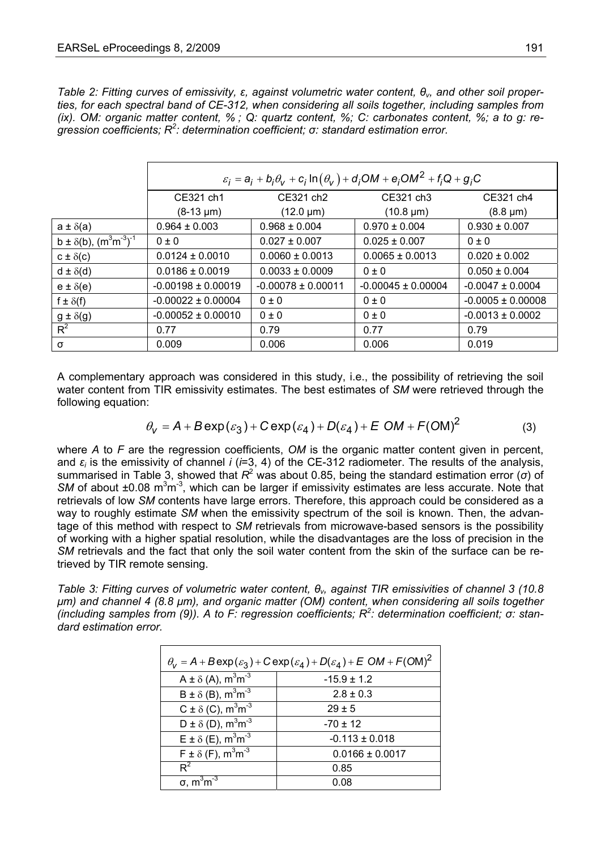*Table 2: Fitting curves of emissivity, ε, against volumetric water content, θv, and other soil properties, for each spectral band of CE-312, when considering all soils together, including samples from (ix). OM: organic matter content, % ; Q: quartz content, %; C: carbonates content, %; a to g: regression coefficients; R2 : determination coefficient; σ: standard estimation error.* 

|                                     | $\varepsilon_i = a_i + b_i \theta_v + c_i \ln(\theta_v) + d_i O M + e_i O M^2 + f_i Q + g_i C$ |                        |                        |                       |  |  |
|-------------------------------------|------------------------------------------------------------------------------------------------|------------------------|------------------------|-----------------------|--|--|
|                                     | CE321 ch1                                                                                      | CE321 ch2              | CE321 ch3              | CE321 ch4             |  |  |
|                                     | $(8-13 \mu m)$                                                                                 | $(12.0 \mu m)$         | $(10.8 \mu m)$         | $(8.8 \,\mu m)$       |  |  |
| $a \pm \delta(a)$                   | $0.964 \pm 0.003$                                                                              | $0.968 \pm 0.004$      | $0.970 \pm 0.004$      | $0.930 \pm 0.007$     |  |  |
| $b \pm \delta(b)$ , $(m^3m^3)^{-1}$ | $0 \pm 0$                                                                                      | $0.027 \pm 0.007$      | $0.025 \pm 0.007$      | $0 \pm 0$             |  |  |
| $c \pm \delta(c)$                   | $0.0124 \pm 0.0010$                                                                            | $0.0060 \pm 0.0013$    | $0.0065 \pm 0.0013$    | $0.020 \pm 0.002$     |  |  |
| $d \pm \delta(d)$                   | $0.0186 \pm 0.0019$                                                                            | $0.0033 \pm 0.0009$    | $0 \pm 0$              | $0.050 \pm 0.004$     |  |  |
| $e \pm \delta(e)$                   | $-0.00198 \pm 0.00019$                                                                         | $-0.00078 \pm 0.00011$ | $-0.00045 \pm 0.00004$ | $-0.0047 \pm 0.0004$  |  |  |
| f $\pm \delta(f)$                   | $-0.00022 \pm 0.00004$                                                                         | $0 \pm 0$              | $0 \pm 0$              | $-0.0005 \pm 0.00008$ |  |  |
| $g \pm \delta(g)$                   | $-0.00052 \pm 0.00010$                                                                         | $0 \pm 0$              | 0 ± 0                  | $-0.0013 \pm 0.0002$  |  |  |
| $R^2$                               | 0.77                                                                                           | 0.79                   | 0.77                   | 0.79                  |  |  |
| σ                                   | 0.009                                                                                          | 0.006                  | 0.006                  | 0.019                 |  |  |

A complementary approach was considered in this study, i.e., the possibility of retrieving the soil water content from TIR emissivity estimates. The best estimates of *SM* were retrieved through the following equation:

$$
\theta_{V} = A + B \exp(\varepsilon_{3}) + C \exp(\varepsilon_{4}) + D(\varepsilon_{4}) + E \text{ OM} + F(\text{OM})^{2}
$$
 (3)

where *A* to *F* are the regression coefficients, *OM* is the organic matter content given in percent, and  $\varepsilon_i$  is the emissivity of channel *i* ( $i=3, 4$ ) of the CE-312 radiometer. The results of the analysis, summarised in Table 3, showed that *R*<sup>2</sup> was about 0.85, being the standard estimation error (σ) of  $SM$  of about  $\pm 0.08$  m<sup>3</sup>m<sup>-3</sup>, which can be larger if emissivity estimates are less accurate. Note that retrievals of low *SM* contents have large errors. Therefore, this approach could be considered as a way to roughly estimate *SM* when the emissivity spectrum of the soil is known. Then, the advantage of this method with respect to *SM* retrievals from microwave-based sensors is the possibility of working with a higher spatial resolution, while the disadvantages are the loss of precision in the *SM* retrievals and the fact that only the soil water content from the skin of the surface can be retrieved by TIR remote sensing.

*Table 3: Fitting curves of volumetric water content, θv, against TIR emissivities of channel 3 (10.8 μm) and channel 4 (8.8 μm), and organic matter (OM) content, when considering all soils together (including samples from (9)). A to F: regression coefficients; R<sup>2</sup> : determination coefficient; σ: standard estimation error.* 

| $\theta_V = A + B \exp(\varepsilon_3) + C \exp(\varepsilon_4) + D(\varepsilon_4) + E \text{ OM} + F(\text{OM})^2$ |                     |  |  |  |
|-------------------------------------------------------------------------------------------------------------------|---------------------|--|--|--|
| A $\pm$ $\delta$ (A), m <sup>3</sup> m <sup>-3</sup>                                                              | $-15.9 \pm 1.2$     |  |  |  |
| $B \pm \delta$ (B), $m^3m^{-3}$                                                                                   | $2.8 \pm 0.3$       |  |  |  |
| $C \pm \delta$ (C), m <sup>3</sup> m <sup>-3</sup>                                                                | $29 \pm 5$          |  |  |  |
| $D \pm \delta$ (D), $m^3m^{-3}$                                                                                   | $-70 \pm 12$        |  |  |  |
| $E \pm \delta$ (E), $m^3m^{-3}$                                                                                   | $-0.113 \pm 0.018$  |  |  |  |
| $F \pm \delta$ (F), $m^3m^{-3}$                                                                                   | $0.0166 \pm 0.0017$ |  |  |  |
| $R^2$                                                                                                             | 0.85                |  |  |  |
| $\sigma$ , m <sup>3</sup> m <sup>-3</sup>                                                                         | 0.08                |  |  |  |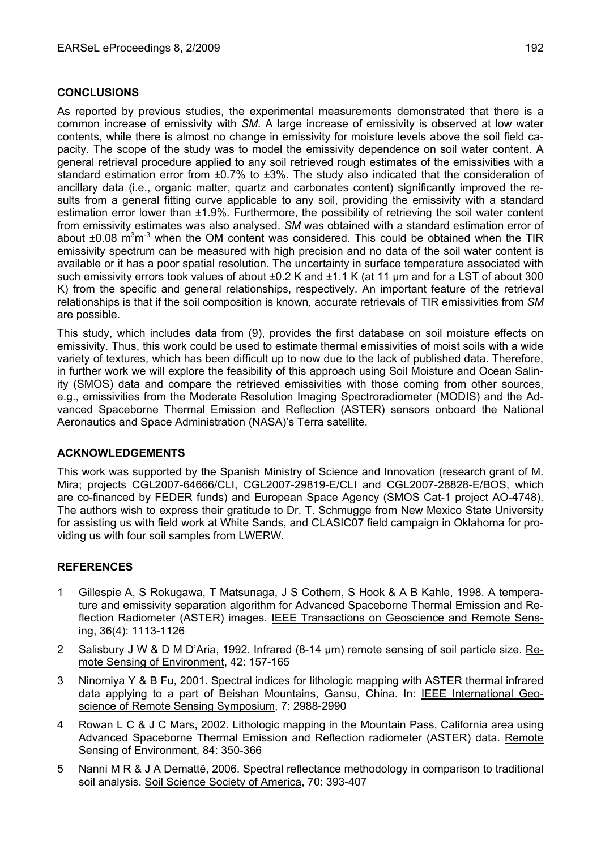## **CONCLUSIONS**

As reported by previous studies, the experimental measurements demonstrated that there is a common increase of emissivity with *SM*. A large increase of emissivity is observed at low water contents, while there is almost no change in emissivity for moisture levels above the soil field capacity. The scope of the study was to model the emissivity dependence on soil water content. A general retrieval procedure applied to any soil retrieved rough estimates of the emissivities with a standard estimation error from ±0.7% to ±3%. The study also indicated that the consideration of ancillary data (i.e., organic matter, quartz and carbonates content) significantly improved the results from a general fitting curve applicable to any soil, providing the emissivity with a standard estimation error lower than ±1.9%. Furthermore, the possibility of retrieving the soil water content from emissivity estimates was also analysed. *SM* was obtained with a standard estimation error of about  $\pm 0.08$  m<sup>3</sup>m<sup>-3</sup> when the OM content was considered. This could be obtained when the TIR emissivity spectrum can be measured with high precision and no data of the soil water content is available or it has a poor spatial resolution. The uncertainty in surface temperature associated with such emissivity errors took values of about  $\pm 0.2$  K and  $\pm 1.1$  K (at 11 µm and for a LST of about 300 K) from the specific and general relationships, respectively. An important feature of the retrieval relationships is that if the soil composition is known, accurate retrievals of TIR emissivities from *SM* are possible.

This study, which includes data from (9), provides the first database on soil moisture effects on emissivity. Thus, this work could be used to estimate thermal emissivities of moist soils with a wide variety of textures, which has been difficult up to now due to the lack of published data. Therefore, in further work we will explore the feasibility of this approach using Soil Moisture and Ocean Salinity (SMOS) data and compare the retrieved emissivities with those coming from other sources, e.g., emissivities from the Moderate Resolution Imaging Spectroradiometer (MODIS) and the Advanced Spaceborne Thermal Emission and Reflection (ASTER) sensors onboard the National Aeronautics and Space Administration (NASA)'s Terra satellite.

### **ACKNOWLEDGEMENTS**

This work was supported by the Spanish Ministry of Science and Innovation (research grant of M. Mira; projects CGL2007-64666/CLI, CGL2007-29819-E/CLI and CGL2007-28828-E/BOS, which are co-financed by FEDER funds) and European Space Agency (SMOS Cat-1 project AO-4748). The authors wish to express their gratitude to Dr. T. Schmugge from New Mexico State University for assisting us with field work at White Sands, and CLASIC07 field campaign in Oklahoma for providing us with four soil samples from LWERW.

### **REFERENCES**

- 1 Gillespie A, S Rokugawa, T Matsunaga, J S Cothern, S Hook & A B Kahle, 1998. A temperature and emissivity separation algorithm for Advanced Spaceborne Thermal Emission and Reflection Radiometer (ASTER) images. IEEE Transactions on Geoscience and Remote Sensing, 36(4): 1113-1126
- 2 Salisbury J W & D M D'Aria, 1992. Infrared (8-14 µm) remote sensing of soil particle size. Remote Sensing of Environment, 42: 157-165
- 3 Ninomiya Y & B Fu, 2001. Spectral indices for lithologic mapping with ASTER thermal infrared data applying to a part of Beishan Mountains, Gansu, China. In: IEEE International Geoscience of Remote Sensing Symposium, 7: 2988-2990
- 4 Rowan L C & J C Mars, 2002. Lithologic mapping in the Mountain Pass, California area using Advanced Spaceborne Thermal Emission and Reflection radiometer (ASTER) data. Remote Sensing of Environment, 84: 350-366
- 5 Nanni M R & J A Demattê, 2006. Spectral reflectance methodology in comparison to traditional soil analysis. Soil Science Society of America, 70: 393-407